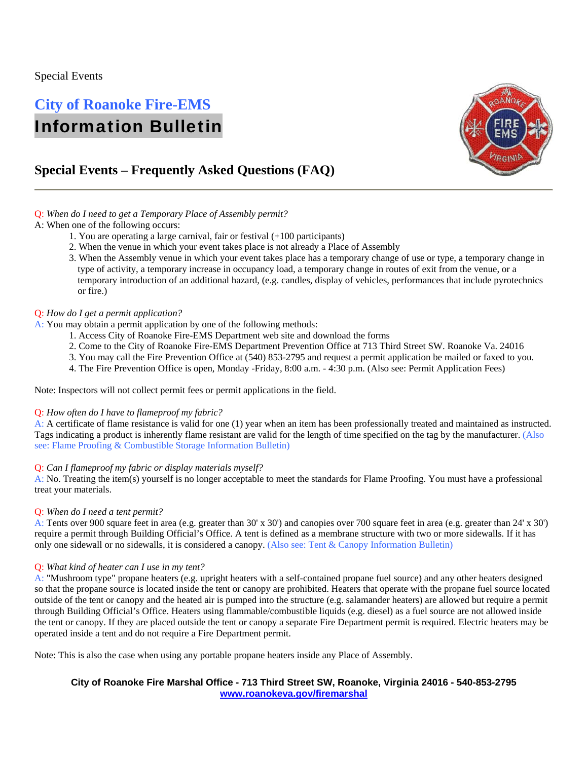### Special Events

# **City of Roanoke Fire-EMS**  Information Bulletin



## **Special Events – Frequently Asked Questions (FAQ)**

#### Q: *When do I need to get a Temporary Place of Assembly permit?*

#### A: When one of the following occurs:

- 1. You are operating a large carnival, fair or festival (+100 participants)
- 2. When the venue in which your event takes place is not already a Place of Assembly
- 3. When the Assembly venue in which your event takes place has a temporary change of use or type, a temporary change in type of activity, a temporary increase in occupancy load, a temporary change in routes of exit from the venue, or a temporary introduction of an additional hazard, (e.g. candles, display of vehicles, performances that include pyrotechnics or fire.)

#### Q: *How do I get a permit application?*

- A: You may obtain a permit application by one of the following methods:
	- 1. Access City of Roanoke Fire-EMS Department web site and download the forms
	- 2. Come to the City of Roanoke Fire-EMS Department Prevention Office at 713 Third Street SW. Roanoke Va. 24016
	- 3. You may call the Fire Prevention Office at (540) 853-2795 and request a permit application be mailed or faxed to you.
	- 4. The Fire Prevention Office is open, Monday -Friday, 8:00 a.m. 4:30 p.m. (Also see: Permit Application Fees)

Note: Inspectors will not collect permit fees or permit applications in the field.

#### Q: *How often do I have to flameproof my fabric?*

A: A certificate of flame resistance is valid for one (1) year when an item has been professionally treated and maintained as instructed. Tags indicating a product is inherently flame resistant are valid for the length of time specified on the tag by the manufacturer. (Also see: Flame Proofing & Combustible Storage Information Bulletin)

#### Q: *Can I flameproof my fabric or display materials myself?*

A: No. Treating the item(s) yourself is no longer acceptable to meet the standards for Flame Proofing. You must have a professional treat your materials.

#### Q: *When do I need a tent permit?*

A: Tents over 900 square feet in area (e.g. greater than 30' x 30') and canopies over 700 square feet in area (e.g. greater than 24' x 30') require a permit through Building Official's Office. A tent is defined as a membrane structure with two or more sidewalls. If it has only one sidewall or no sidewalls, it is considered a canopy. (Also see: Tent & Canopy Information Bulletin)

#### Q: *What kind of heater can I use in my tent?*

A: "Mushroom type" propane heaters (e.g. upright heaters with a self-contained propane fuel source) and any other heaters designed so that the propane source is located inside the tent or canopy are prohibited. Heaters that operate with the propane fuel source located outside of the tent or canopy and the heated air is pumped into the structure (e.g. salamander heaters) are allowed but require a permit through Building Official's Office. Heaters using flammable/combustible liquids (e.g. diesel) as a fuel source are not allowed inside the tent or canopy. If they are placed outside the tent or canopy a separate Fire Department permit is required. Electric heaters may be operated inside a tent and do not require a Fire Department permit.

Note: This is also the case when using any portable propane heaters inside any Place of Assembly.

#### **City of Roanoke Fire Marshal Office - 713 Third Street SW, Roanoke, Virginia 24016 - 540-853-2795 www.roanokeva.gov/firemarshal**